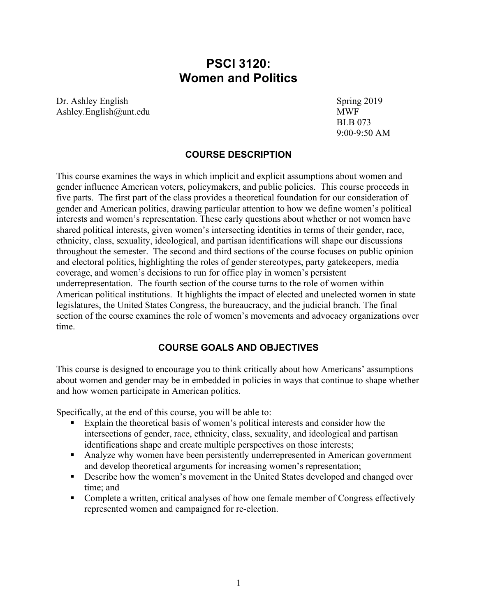# **PSCI 3120: Women and Politics**

Dr. Ashley English Spring 2019 Ashley.English@unt.edu MWF

BLB 073 9:00-9:50 AM

#### **COURSE DESCRIPTION**

This course examines the ways in which implicit and explicit assumptions about women and gender influence American voters, policymakers, and public policies. This course proceeds in five parts. The first part of the class provides a theoretical foundation for our consideration of gender and American politics, drawing particular attention to how we define women's political interests and women's representation. These early questions about whether or not women have shared political interests, given women's intersecting identities in terms of their gender, race, ethnicity, class, sexuality, ideological, and partisan identifications will shape our discussions throughout the semester. The second and third sections of the course focuses on public opinion and electoral politics, highlighting the roles of gender stereotypes, party gatekeepers, media coverage, and women's decisions to run for office play in women's persistent underrepresentation. The fourth section of the course turns to the role of women within American political institutions. It highlights the impact of elected and unelected women in state legislatures, the United States Congress, the bureaucracy, and the judicial branch. The final section of the course examines the role of women's movements and advocacy organizations over time.

#### **COURSE GOALS AND OBJECTIVES**

This course is designed to encourage you to think critically about how Americans' assumptions about women and gender may be in embedded in policies in ways that continue to shape whether and how women participate in American politics.

Specifically, at the end of this course, you will be able to:

- Explain the theoretical basis of women's political interests and consider how the intersections of gender, race, ethnicity, class, sexuality, and ideological and partisan identifications shape and create multiple perspectives on those interests;
- Analyze why women have been persistently underrepresented in American government and develop theoretical arguments for increasing women's representation;
- Describe how the women's movement in the United States developed and changed over time; and
- Complete a written, critical analyses of how one female member of Congress effectively represented women and campaigned for re-election.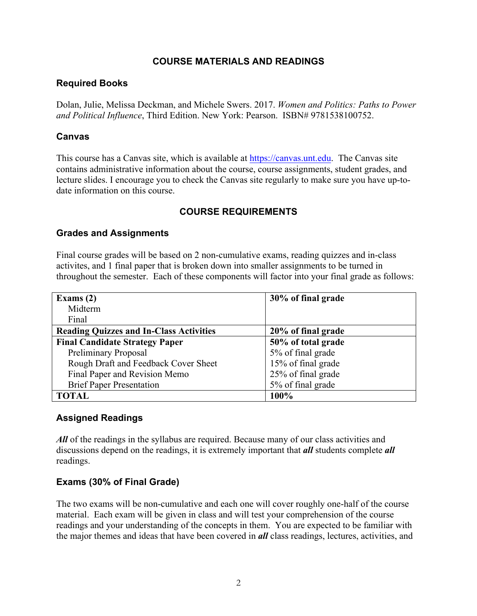### **COURSE MATERIALS AND READINGS**

#### **Required Books**

Dolan, Julie, Melissa Deckman, and Michele Swers. 2017. *Women and Politics: Paths to Power and Political Influence*, Third Edition. New York: Pearson. ISBN# 9781538100752.

### **Canvas**

This course has a Canvas site, which is available at https://canvas.unt.edu. The Canvas site contains administrative information about the course, course assignments, student grades, and lecture slides. I encourage you to check the Canvas site regularly to make sure you have up-todate information on this course.

### **COURSE REQUIREMENTS**

### **Grades and Assignments**

Final course grades will be based on 2 non-cumulative exams, reading quizzes and in-class activites, and 1 final paper that is broken down into smaller assignments to be turned in throughout the semester. Each of these components will factor into your final grade as follows:

| Exams $(2)$                                    | 30% of final grade |
|------------------------------------------------|--------------------|
| Midterm                                        |                    |
| Final                                          |                    |
| <b>Reading Quizzes and In-Class Activities</b> | 20% of final grade |
| <b>Final Candidate Strategy Paper</b>          | 50% of total grade |
| <b>Preliminary Proposal</b>                    | 5% of final grade  |
| Rough Draft and Feedback Cover Sheet           | 15% of final grade |
| Final Paper and Revision Memo                  | 25% of final grade |
| <b>Brief Paper Presentation</b>                | 5% of final grade  |
| TOTAL                                          | 100%               |

#### **Assigned Readings**

*All* of the readings in the syllabus are required. Because many of our class activities and discussions depend on the readings, it is extremely important that *all* students complete *all* readings.

### **Exams (30% of Final Grade)**

The two exams will be non-cumulative and each one will cover roughly one-half of the course material. Each exam will be given in class and will test your comprehension of the course readings and your understanding of the concepts in them. You are expected to be familiar with the major themes and ideas that have been covered in *all* class readings, lectures, activities, and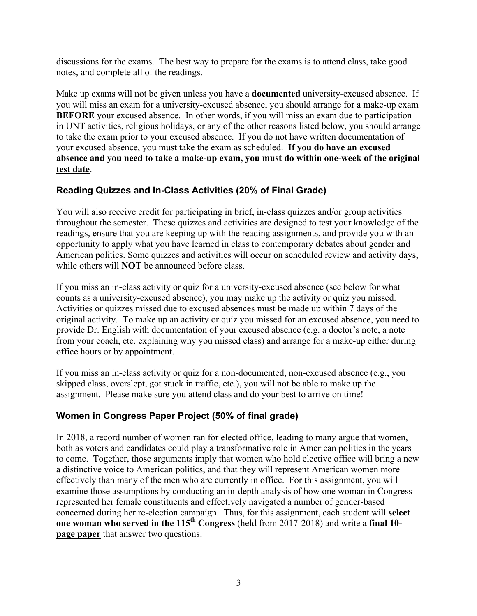discussions for the exams. The best way to prepare for the exams is to attend class, take good notes, and complete all of the readings.

Make up exams will not be given unless you have a **documented** university-excused absence. If you will miss an exam for a university-excused absence, you should arrange for a make-up exam **BEFORE** your excused absence. In other words, if you will miss an exam due to participation in UNT activities, religious holidays, or any of the other reasons listed below, you should arrange to take the exam prior to your excused absence. If you do not have written documentation of your excused absence, you must take the exam as scheduled. **If you do have an excused absence and you need to take a make-up exam, you must do within one-week of the original test date**.

# **Reading Quizzes and In-Class Activities (20% of Final Grade)**

You will also receive credit for participating in brief, in-class quizzes and/or group activities throughout the semester. These quizzes and activities are designed to test your knowledge of the readings, ensure that you are keeping up with the reading assignments, and provide you with an opportunity to apply what you have learned in class to contemporary debates about gender and American politics. Some quizzes and activities will occur on scheduled review and activity days, while others will **NOT** be announced before class.

If you miss an in-class activity or quiz for a university-excused absence (see below for what counts as a university-excused absence), you may make up the activity or quiz you missed. Activities or quizzes missed due to excused absences must be made up within 7 days of the original activity. To make up an activity or quiz you missed for an excused absence, you need to provide Dr. English with documentation of your excused absence (e.g. a doctor's note, a note from your coach, etc. explaining why you missed class) and arrange for a make-up either during office hours or by appointment.

If you miss an in-class activity or quiz for a non-documented, non-excused absence (e.g., you skipped class, overslept, got stuck in traffic, etc.), you will not be able to make up the assignment. Please make sure you attend class and do your best to arrive on time!

### **Women in Congress Paper Project (50% of final grade)**

In 2018, a record number of women ran for elected office, leading to many argue that women, both as voters and candidates could play a transformative role in American politics in the years to come. Together, those arguments imply that women who hold elective office will bring a new a distinctive voice to American politics, and that they will represent American women more effectively than many of the men who are currently in office. For this assignment, you will examine those assumptions by conducting an in-depth analysis of how one woman in Congress represented her female constituents and effectively navigated a number of gender-based concerned during her re-election campaign. Thus, for this assignment, each student will **select one woman who served in the 115<sup>th</sup> Congress** (held from 2017-2018) and write a **final 10page paper** that answer two questions: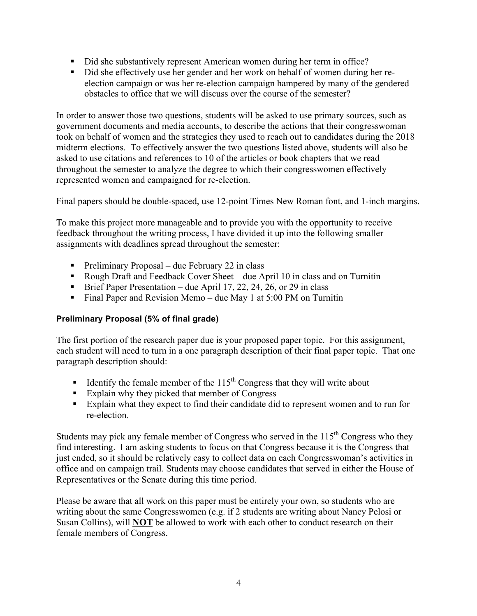- Did she substantively represent American women during her term in office?
- Did she effectively use her gender and her work on behalf of women during her reelection campaign or was her re-election campaign hampered by many of the gendered obstacles to office that we will discuss over the course of the semester?

In order to answer those two questions, students will be asked to use primary sources, such as government documents and media accounts, to describe the actions that their congresswoman took on behalf of women and the strategies they used to reach out to candidates during the 2018 midterm elections. To effectively answer the two questions listed above, students will also be asked to use citations and references to 10 of the articles or book chapters that we read throughout the semester to analyze the degree to which their congresswomen effectively represented women and campaigned for re-election.

Final papers should be double-spaced, use 12-point Times New Roman font, and 1-inch margins.

To make this project more manageable and to provide you with the opportunity to receive feedback throughout the writing process, I have divided it up into the following smaller assignments with deadlines spread throughout the semester:

- Preliminary Proposal due February 22 in class
- Rough Draft and Feedback Cover Sheet due April 10 in class and on Turnitin
- Brief Paper Presentation due April 17, 22, 24, 26, or 29 in class
- Final Paper and Revision Memo due May 1 at 5:00 PM on Turnitin

#### **Preliminary Proposal (5% of final grade)**

The first portion of the research paper due is your proposed paper topic. For this assignment, each student will need to turn in a one paragraph description of their final paper topic. That one paragraph description should:

- **•** Identify the female member of the  $115<sup>th</sup>$  Congress that they will write about
- Explain why they picked that member of Congress
- Explain what they expect to find their candidate did to represent women and to run for re-election.

Students may pick any female member of Congress who served in the  $115<sup>th</sup>$  Congress who they find interesting. I am asking students to focus on that Congress because it is the Congress that just ended, so it should be relatively easy to collect data on each Congresswoman's activities in office and on campaign trail. Students may choose candidates that served in either the House of Representatives or the Senate during this time period.

Please be aware that all work on this paper must be entirely your own, so students who are writing about the same Congresswomen (e.g. if 2 students are writing about Nancy Pelosi or Susan Collins), will **NOT** be allowed to work with each other to conduct research on their female members of Congress.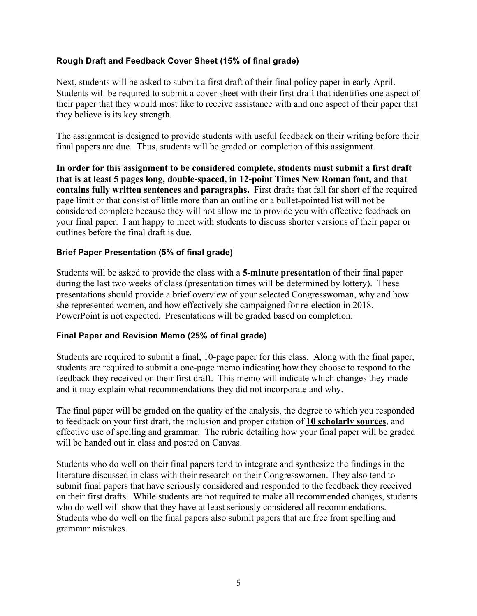#### **Rough Draft and Feedback Cover Sheet (15% of final grade)**

Next, students will be asked to submit a first draft of their final policy paper in early April. Students will be required to submit a cover sheet with their first draft that identifies one aspect of their paper that they would most like to receive assistance with and one aspect of their paper that they believe is its key strength.

The assignment is designed to provide students with useful feedback on their writing before their final papers are due. Thus, students will be graded on completion of this assignment.

**In order for this assignment to be considered complete, students must submit a first draft that is at least 5 pages long, double-spaced, in 12-point Times New Roman font, and that contains fully written sentences and paragraphs.** First drafts that fall far short of the required page limit or that consist of little more than an outline or a bullet-pointed list will not be considered complete because they will not allow me to provide you with effective feedback on your final paper. I am happy to meet with students to discuss shorter versions of their paper or outlines before the final draft is due.

#### **Brief Paper Presentation (5% of final grade)**

Students will be asked to provide the class with a **5-minute presentation** of their final paper during the last two weeks of class (presentation times will be determined by lottery). These presentations should provide a brief overview of your selected Congresswoman, why and how she represented women, and how effectively she campaigned for re-election in 2018. PowerPoint is not expected. Presentations will be graded based on completion.

#### **Final Paper and Revision Memo (25% of final grade)**

Students are required to submit a final, 10-page paper for this class. Along with the final paper, students are required to submit a one-page memo indicating how they choose to respond to the feedback they received on their first draft. This memo will indicate which changes they made and it may explain what recommendations they did not incorporate and why.

The final paper will be graded on the quality of the analysis, the degree to which you responded to feedback on your first draft, the inclusion and proper citation of **10 scholarly sources**, and effective use of spelling and grammar. The rubric detailing how your final paper will be graded will be handed out in class and posted on Canvas.

Students who do well on their final papers tend to integrate and synthesize the findings in the literature discussed in class with their research on their Congresswomen. They also tend to submit final papers that have seriously considered and responded to the feedback they received on their first drafts. While students are not required to make all recommended changes, students who do well will show that they have at least seriously considered all recommendations. Students who do well on the final papers also submit papers that are free from spelling and grammar mistakes.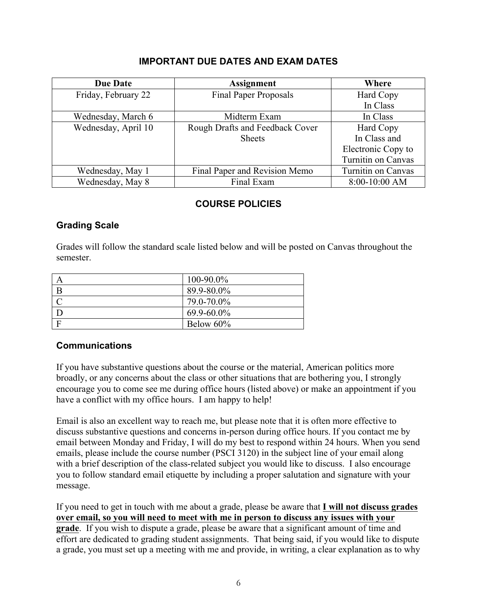### **IMPORTANT DUE DATES AND EXAM DATES**

| <b>Due Date</b>     | <b>Assignment</b>               | Where              |
|---------------------|---------------------------------|--------------------|
| Friday, February 22 | <b>Final Paper Proposals</b>    | Hard Copy          |
|                     |                                 | In Class           |
| Wednesday, March 6  | Midterm Exam                    | In Class           |
| Wednesday, April 10 | Rough Drafts and Feedback Cover | Hard Copy          |
|                     | <b>Sheets</b>                   | In Class and       |
|                     |                                 | Electronic Copy to |
|                     |                                 | Turnitin on Canvas |
| Wednesday, May 1    | Final Paper and Revision Memo   | Turnitin on Canvas |
| Wednesday, May 8    | Final Exam                      | 8:00-10:00 AM      |

### **COURSE POLICIES**

### **Grading Scale**

Grades will follow the standard scale listed below and will be posted on Canvas throughout the semester.

| $100 - 90.0\%$  |
|-----------------|
| 89.9-80.0%      |
| 79.0-70.0%      |
| $69.9 - 60.0\%$ |
| Below $60\%$    |

#### **Communications**

If you have substantive questions about the course or the material, American politics more broadly, or any concerns about the class or other situations that are bothering you, I strongly encourage you to come see me during office hours (listed above) or make an appointment if you have a conflict with my office hours. I am happy to help!

Email is also an excellent way to reach me, but please note that it is often more effective to discuss substantive questions and concerns in-person during office hours. If you contact me by email between Monday and Friday, I will do my best to respond within 24 hours. When you send emails, please include the course number (PSCI 3120) in the subject line of your email along with a brief description of the class-related subject you would like to discuss. I also encourage you to follow standard email etiquette by including a proper salutation and signature with your message.

If you need to get in touch with me about a grade, please be aware that **I will not discuss grades over email, so you will need to meet with me in person to discuss any issues with your grade**. If you wish to dispute a grade, please be aware that a significant amount of time and effort are dedicated to grading student assignments. That being said, if you would like to dispute a grade, you must set up a meeting with me and provide, in writing, a clear explanation as to why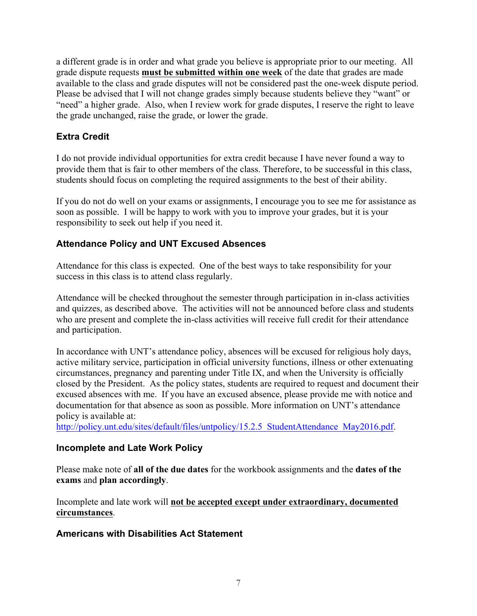a different grade is in order and what grade you believe is appropriate prior to our meeting. All grade dispute requests **must be submitted within one week** of the date that grades are made available to the class and grade disputes will not be considered past the one-week dispute period. Please be advised that I will not change grades simply because students believe they "want" or "need" a higher grade. Also, when I review work for grade disputes, I reserve the right to leave the grade unchanged, raise the grade, or lower the grade.

## **Extra Credit**

I do not provide individual opportunities for extra credit because I have never found a way to provide them that is fair to other members of the class. Therefore, to be successful in this class, students should focus on completing the required assignments to the best of their ability.

If you do not do well on your exams or assignments, I encourage you to see me for assistance as soon as possible. I will be happy to work with you to improve your grades, but it is your responsibility to seek out help if you need it.

### **Attendance Policy and UNT Excused Absences**

Attendance for this class is expected. One of the best ways to take responsibility for your success in this class is to attend class regularly.

Attendance will be checked throughout the semester through participation in in-class activities and quizzes, as described above. The activities will not be announced before class and students who are present and complete the in-class activities will receive full credit for their attendance and participation.

In accordance with UNT's attendance policy, absences will be excused for religious holy days, active military service, participation in official university functions, illness or other extenuating circumstances, pregnancy and parenting under Title IX, and when the University is officially closed by the President. As the policy states, students are required to request and document their excused absences with me. If you have an excused absence, please provide me with notice and documentation for that absence as soon as possible. More information on UNT's attendance policy is available at:

http://policy.unt.edu/sites/default/files/untpolicy/15.2.5\_StudentAttendance\_May2016.pdf.

### **Incomplete and Late Work Policy**

Please make note of **all of the due dates** for the workbook assignments and the **dates of the exams** and **plan accordingly**.

Incomplete and late work will **not be accepted except under extraordinary, documented circumstances**.

# **Americans with Disabilities Act Statement**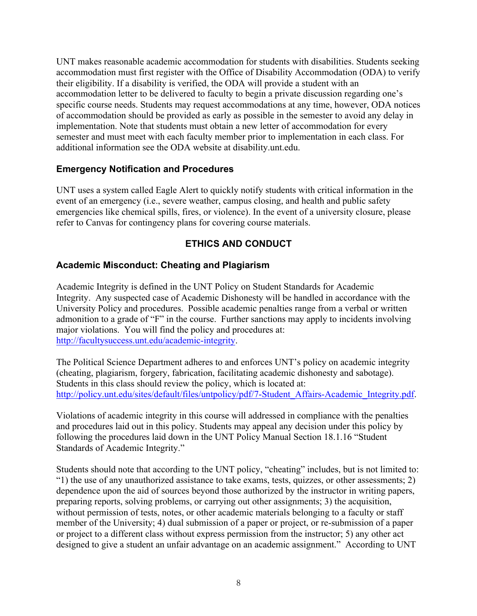UNT makes reasonable academic accommodation for students with disabilities. Students seeking accommodation must first register with the Office of Disability Accommodation (ODA) to verify their eligibility. If a disability is verified, the ODA will provide a student with an accommodation letter to be delivered to faculty to begin a private discussion regarding one's specific course needs. Students may request accommodations at any time, however, ODA notices of accommodation should be provided as early as possible in the semester to avoid any delay in implementation. Note that students must obtain a new letter of accommodation for every semester and must meet with each faculty member prior to implementation in each class. For additional information see the ODA website at disability.unt.edu.

### **Emergency Notification and Procedures**

UNT uses a system called Eagle Alert to quickly notify students with critical information in the event of an emergency (i.e., severe weather, campus closing, and health and public safety emergencies like chemical spills, fires, or violence). In the event of a university closure, please refer to Canvas for contingency plans for covering course materials.

# **ETHICS AND CONDUCT**

### **Academic Misconduct: Cheating and Plagiarism**

Academic Integrity is defined in the UNT Policy on Student Standards for Academic Integrity. Any suspected case of Academic Dishonesty will be handled in accordance with the University Policy and procedures. Possible academic penalties range from a verbal or written admonition to a grade of "F" in the course. Further sanctions may apply to incidents involving major violations. You will find the policy and procedures at: http://facultysuccess.unt.edu/academic-integrity.

The Political Science Department adheres to and enforces UNT's policy on academic integrity (cheating, plagiarism, forgery, fabrication, facilitating academic dishonesty and sabotage). Students in this class should review the policy, which is located at: http://policy.unt.edu/sites/default/files/untpolicy/pdf/7-Student\_Affairs-Academic\_Integrity.pdf.

Violations of academic integrity in this course will addressed in compliance with the penalties and procedures laid out in this policy. Students may appeal any decision under this policy by following the procedures laid down in the UNT Policy Manual Section 18.1.16 "Student Standards of Academic Integrity."

Students should note that according to the UNT policy, "cheating" includes, but is not limited to: "1) the use of any unauthorized assistance to take exams, tests, quizzes, or other assessments; 2) dependence upon the aid of sources beyond those authorized by the instructor in writing papers, preparing reports, solving problems, or carrying out other assignments; 3) the acquisition, without permission of tests, notes, or other academic materials belonging to a faculty or staff member of the University; 4) dual submission of a paper or project, or re-submission of a paper or project to a different class without express permission from the instructor; 5) any other act designed to give a student an unfair advantage on an academic assignment." According to UNT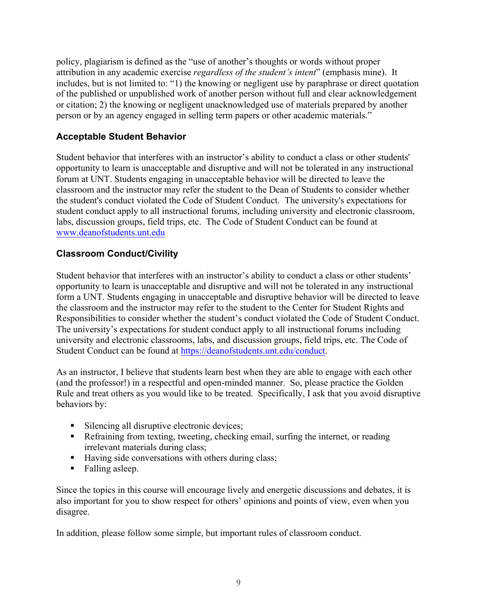policy, plagiarism is defined as the "use of another's thoughts or words without proper attribution in any academic exercise *regardless of the student's intent*" (emphasis mine). It includes, but is not limited to: "1) the knowing or negligent use by paraphrase or direct quotation of the published or unpublished work of another person without full and clear acknowledgement or citation; 2) the knowing or negligent unacknowledged use of materials prepared by another person or by an agency engaged in selling term papers or other academic materials."

# **Acceptable Student Behavior**

Student behavior that interferes with an instructor's ability to conduct a class or other students' opportunity to learn is unacceptable and disruptive and will not be tolerated in any instructional forum at UNT. Students engaging in unacceptable behavior will be directed to leave the classroom and the instructor may refer the student to the Dean of Students to consider whether the student's conduct violated the Code of Student Conduct. The university's expectations for student conduct apply to all instructional forums, including university and electronic classroom, labs, discussion groups, field trips, etc. The Code of Student Conduct can be found at www.deanofstudents.unt.edu

# **Classroom Conduct/Civility**

Student behavior that interferes with an instructor's ability to conduct a class or other students' opportunity to learn is unacceptable and disruptive and will not be tolerated in any instructional form a UNT. Students engaging in unacceptable and disruptive behavior will be directed to leave the classroom and the instructor may refer to the student to the Center for Student Rights and Responsibilities to consider whether the student's conduct violated the Code of Student Conduct. The university's expectations for student conduct apply to all instructional forums including university and electronic classrooms, labs, and discussion groups, field trips, etc. The Code of Student Conduct can be found at https://deanofstudents.unt.edu/conduct.

As an instructor, I believe that students learn best when they are able to engage with each other (and the professor!) in a respectful and open-minded manner. So, please practice the Golden Rule and treat others as you would like to be treated. Specifically, I ask that you avoid disruptive behaviors by:

- Silencing all disruptive electronic devices;
- Refraining from texting, tweeting, checking email, surfing the internet, or reading irrelevant materials during class;
- Having side conversations with others during class;
- Falling asleep.

Since the topics in this course will encourage lively and energetic discussions and debates, it is also important for you to show respect for others' opinions and points of view, even when you disagree.

In addition, please follow some simple, but important rules of classroom conduct.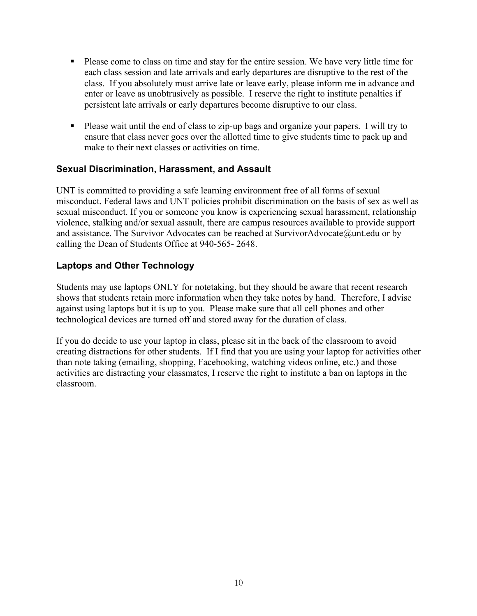- § Please come to class on time and stay for the entire session. We have very little time for each class session and late arrivals and early departures are disruptive to the rest of the class. If you absolutely must arrive late or leave early, please inform me in advance and enter or leave as unobtrusively as possible. I reserve the right to institute penalties if persistent late arrivals or early departures become disruptive to our class.
- Please wait until the end of class to zip-up bags and organize your papers. I will try to ensure that class never goes over the allotted time to give students time to pack up and make to their next classes or activities on time.

### **Sexual Discrimination, Harassment, and Assault**

UNT is committed to providing a safe learning environment free of all forms of sexual misconduct. Federal laws and UNT policies prohibit discrimination on the basis of sex as well as sexual misconduct. If you or someone you know is experiencing sexual harassment, relationship violence, stalking and/or sexual assault, there are campus resources available to provide support and assistance. The Survivor Advocates can be reached at SurvivorAdvocate@unt.edu or by calling the Dean of Students Office at 940-565- 2648.

### **Laptops and Other Technology**

Students may use laptops ONLY for notetaking, but they should be aware that recent research shows that students retain more information when they take notes by hand. Therefore, I advise against using laptops but it is up to you. Please make sure that all cell phones and other technological devices are turned off and stored away for the duration of class.

If you do decide to use your laptop in class, please sit in the back of the classroom to avoid creating distractions for other students. If I find that you are using your laptop for activities other than note taking (emailing, shopping, Facebooking, watching videos online, etc.) and those activities are distracting your classmates, I reserve the right to institute a ban on laptops in the classroom.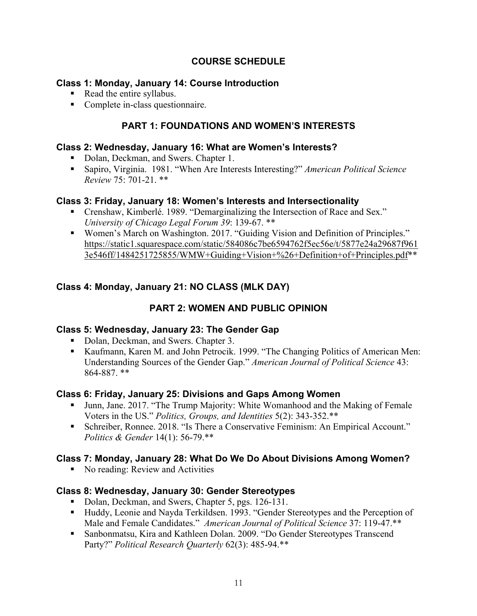# **COURSE SCHEDULE**

### **Class 1: Monday, January 14: Course Introduction**

- Read the entire syllabus.
- Complete in-class questionnaire.

### **PART 1: FOUNDATIONS AND WOMEN'S INTERESTS**

#### **Class 2: Wednesday, January 16: What are Women's Interests?**

- Dolan, Deckman, and Swers. Chapter 1.
- § Sapiro, Virginia. 1981. "When Are Interests Interesting?" *American Political Science Review* 75: 701-21. \*\*

#### **Class 3: Friday, January 18: Women's Interests and Intersectionality**

- Crenshaw, Kimberlé. 1989. "Demarginalizing the Intersection of Race and Sex." *University of Chicago Legal Forum 39*: 139-67. \*\*
- Women's March on Washington. 2017. "Guiding Vision and Definition of Principles." https://static1.squarespace.com/static/584086c7be6594762f5ec56e/t/5877e24a29687f961 3e546ff/1484251725855/WMW+Guiding+Vision+%26+Definition+of+Principles.pdf\*\*

### **Class 4: Monday, January 21: NO CLASS (MLK DAY)**

# **PART 2: WOMEN AND PUBLIC OPINION**

#### **Class 5: Wednesday, January 23: The Gender Gap**

- Dolan, Deckman, and Swers. Chapter 3.
- Kaufmann, Karen M. and John Petrocik. 1999. "The Changing Politics of American Men: Understanding Sources of the Gender Gap." *American Journal of Political Science* 43: 864-887. \*\*

#### **Class 6: Friday, January 25: Divisions and Gaps Among Women**

- Junn, Jane. 2017. "The Trump Majority: White Womanhood and the Making of Female Voters in the US." *Politics, Groups, and Identities* 5(2): 343-352.\*\*
- Schreiber, Ronnee. 2018. "Is There a Conservative Feminism: An Empirical Account." *Politics & Gender* 14(1): 56-79.\*\*

### **Class 7: Monday, January 28: What Do We Do About Divisions Among Women?**

■ No reading: Review and Activities

#### **Class 8: Wednesday, January 30: Gender Stereotypes**

- Dolan, Deckman, and Swers, Chapter 5, pgs. 126-131.
- Huddy, Leonie and Nayda Terkildsen. 1993. "Gender Stereotypes and the Perception of Male and Female Candidates." *American Journal of Political Science* 37: 119-47.\*\*
- Sanbonmatsu, Kira and Kathleen Dolan. 2009. "Do Gender Stereotypes Transcend Party?" *Political Research Quarterly* 62(3): 485-94.\*\*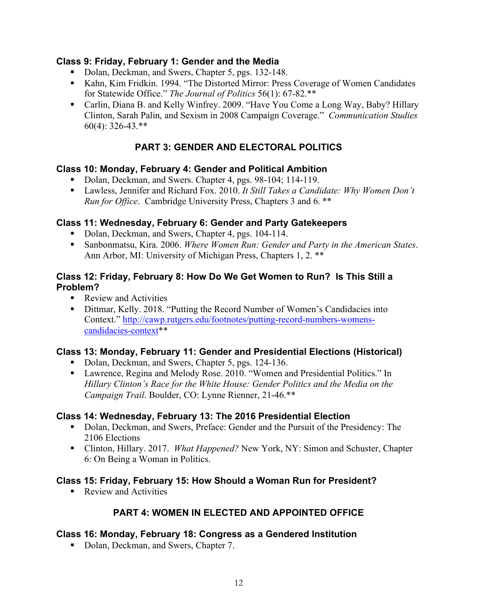#### **Class 9: Friday, February 1: Gender and the Media**

- Dolan, Deckman, and Swers, Chapter 5, pgs. 132-148.
- Kahn, Kim Fridkin. 1994. "The Distorted Mirror: Press Coverage of Women Candidates for Statewide Office." *The Journal of Politics* 56(1): 67-82.\*\*
- Carlin, Diana B. and Kelly Winfrey. 2009. "Have You Come a Long Way, Baby? Hillary Clinton, Sarah Palin, and Sexism in 2008 Campaign Coverage." *Communication Studies* 60(4): 326-43.\*\*

# **PART 3: GENDER AND ELECTORAL POLITICS**

### **Class 10: Monday, February 4: Gender and Political Ambition**

- Dolan, Deckman, and Swers. Chapter 4, pgs. 98-104; 114-119.
- Lawless, Jennifer and Richard Fox. 2010. *It Still Takes a Candidate: Why Women Don't Run for Office*. Cambridge University Press, Chapters 3 and 6. \*\*

### **Class 11: Wednesday, February 6: Gender and Party Gatekeepers**

- Dolan, Deckman, and Swers, Chapter 4, pgs. 104-114.
- Sanbonmatsu, Kira. 2006. *Where Women Run: Gender and Party in the American States*. Ann Arbor, MI: University of Michigan Press, Chapters 1, 2. \*\*

#### **Class 12: Friday, February 8: How Do We Get Women to Run? Is This Still a Problem?**

- Review and Activities
- Dittmar, Kelly. 2018. "Putting the Record Number of Women's Candidacies into Context." http://cawp.rutgers.edu/footnotes/putting-record-numbers-womenscandidacies-context\*\*

#### **Class 13: Monday, February 11: Gender and Presidential Elections (Historical)**

- Dolan, Deckman, and Swers, Chapter 5, pgs. 124-136.
- Lawrence, Regina and Melody Rose. 2010. "Women and Presidential Politics." In *Hillary Clinton's Race for the White House: Gender Politics and the Media on the Campaign Trail*. Boulder, CO: Lynne Rienner, 21-46.\*\*

### **Class 14: Wednesday, February 13: The 2016 Presidential Election**

- Dolan, Deckman, and Swers, Preface: Gender and the Pursuit of the Presidency: The 2106 Elections
- Clinton, Hillary. 2017. *What Happened?* New York, NY: Simon and Schuster, Chapter 6: On Being a Woman in Politics.

### **Class 15: Friday, February 15: How Should a Woman Run for President?**

■ Review and Activities

### **PART 4: WOMEN IN ELECTED AND APPOINTED OFFICE**

### **Class 16: Monday, February 18: Congress as a Gendered Institution**

■ Dolan, Deckman, and Swers, Chapter 7.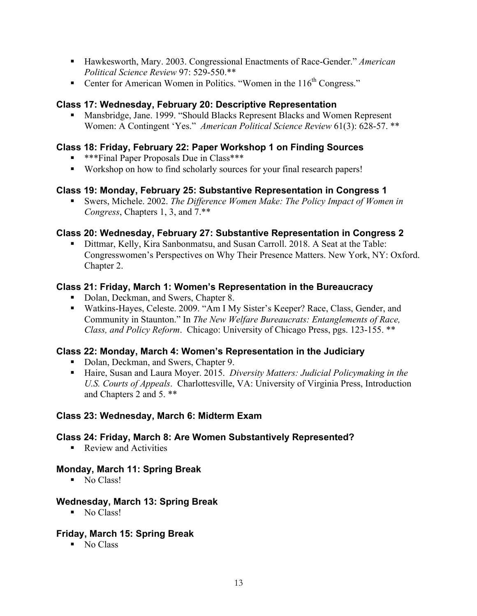- § Hawkesworth, Mary. 2003. Congressional Enactments of Race-Gender." *American Political Science Review* 97: 529-550.\*\*
- Center for American Women in Politics. "Women in the 116<sup>th</sup> Congress."

### **Class 17: Wednesday, February 20: Descriptive Representation**

■ Mansbridge, Jane. 1999. "Should Blacks Represent Blacks and Women Represent Women: A Contingent 'Yes." *American Political Science Review* 61(3): 628-57. \*\*

### **Class 18: Friday, February 22: Paper Workshop 1 on Finding Sources**

- \*\*\*Final Paper Proposals Due in Class\*\*\*
- Workshop on how to find scholarly sources for your final research papers!

### **Class 19: Monday, February 25: Substantive Representation in Congress 1**

■ Swers, Michele. 2002. *The Difference Women Make: The Policy Impact of Women in Congress*, Chapters 1, 3, and 7.\*\*

### **Class 20: Wednesday, February 27: Substantive Representation in Congress 2**

■ Dittmar, Kelly, Kira Sanbonmatsu, and Susan Carroll. 2018. A Seat at the Table: Congresswomen's Perspectives on Why Their Presence Matters. New York, NY: Oxford. Chapter 2.

### **Class 21: Friday, March 1: Women's Representation in the Bureaucracy**

- Dolan, Deckman, and Swers, Chapter 8.
- Watkins-Hayes, Celeste. 2009. "Am I My Sister's Keeper? Race, Class, Gender, and Community in Staunton." In *The New Welfare Bureaucrats: Entanglements of Race, Class, and Policy Reform*. Chicago: University of Chicago Press, pgs. 123-155. \*\*

### **Class 22: Monday, March 4: Women's Representation in the Judiciary**

- Dolan, Deckman, and Swers, Chapter 9.
- Haire, Susan and Laura Moyer, 2015. *Diversity Matters: Judicial Policymaking in the U.S. Courts of Appeals*. Charlottesville, VA: University of Virginia Press, Introduction and Chapters 2 and 5. \*\*

#### **Class 23: Wednesday, March 6: Midterm Exam**

#### **Class 24: Friday, March 8: Are Women Substantively Represented?**

■ Review and Activities

#### **Monday, March 11: Spring Break**

■ No Class!

#### **Wednesday, March 13: Spring Break**

■ No Class!

### **Friday, March 15: Spring Break**

■ No Class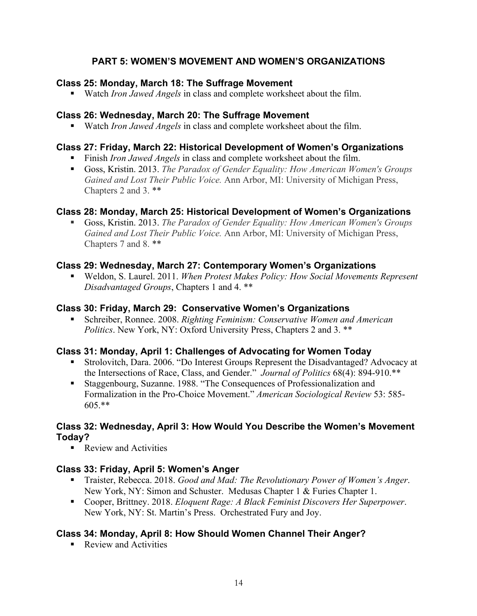# **PART 5: WOMEN'S MOVEMENT AND WOMEN'S ORGANIZATIONS**

#### **Class 25: Monday, March 18: The Suffrage Movement**

■ Watch *Iron Jawed Angels* in class and complete worksheet about the film.

### **Class 26: Wednesday, March 20: The Suffrage Movement**

■ Watch *Iron Jawed Angels* in class and complete worksheet about the film.

### **Class 27: Friday, March 22: Historical Development of Women's Organizations**

- Finish *Iron Jawed Angels* in class and complete worksheet about the film.
- Goss, Kristin. 2013. *The Paradox of Gender Equality: How American Women's Groups Gained and Lost Their Public Voice.* Ann Arbor, MI: University of Michigan Press, Chapters 2 and 3. \*\*

### **Class 28: Monday, March 25: Historical Development of Women's Organizations**

■ Goss, Kristin. 2013. *The Paradox of Gender Equality: How American Women's Groups Gained and Lost Their Public Voice.* Ann Arbor, MI: University of Michigan Press, Chapters 7 and 8. \*\*

### **Class 29: Wednesday, March 27: Contemporary Women's Organizations**

■ Weldon, S. Laurel. 2011. *When Protest Makes Policy: How Social Movements Represent Disadvantaged Groups*, Chapters 1 and 4. \*\*

### **Class 30: Friday, March 29: Conservative Women's Organizations**

■ Schreiber, Ronnee. 2008. *Righting Feminism: Conservative Women and American Politics*. New York, NY: Oxford University Press, Chapters 2 and 3. \*\*

### **Class 31: Monday, April 1: Challenges of Advocating for Women Today**

- Strolovitch, Dara. 2006. "Do Interest Groups Represent the Disadvantaged? Advocacy at the Intersections of Race, Class, and Gender." *Journal of Politics* 68(4): 894-910.\*\*
- Staggenbourg, Suzanne. 1988. "The Consequences of Professionalization and Formalization in the Pro-Choice Movement." *American Sociological Review* 53: 585- 605.\*\*

#### **Class 32: Wednesday, April 3: How Would You Describe the Women's Movement Today?**

■ Review and Activities

### **Class 33: Friday, April 5: Women's Anger**

- Traister, Rebecca. 2018. *Good and Mad: The Revolutionary Power of Women's Anger.* New York, NY: Simon and Schuster. Medusas Chapter 1 & Furies Chapter 1.
- Cooper, Brittney. 2018. *Eloquent Rage: A Black Feminist Discovers Her Superpower*. New York, NY: St. Martin's Press. Orchestrated Fury and Joy.

### **Class 34: Monday, April 8: How Should Women Channel Their Anger?**

■ Review and Activities